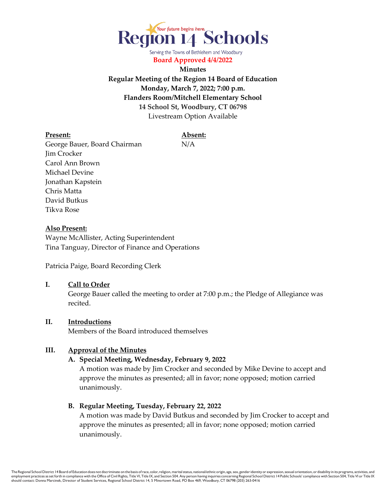

Serving the Towns of Bethlehem and Woodbury **Board Approved 4/4/2022**

**Minutes Regular Meeting of the Region 14 Board of Education Monday, March 7, 2022; 7:00 p.m. Flanders Room/Mitchell Elementary School 14 School St, Woodbury, CT 06798** Livestream Option Available

#### **Present: Absent:**

George Bauer, Board Chairman N/A Jim Crocker Carol Ann Brown Michael Devine Jonathan Kapstein Chris Matta David Butkus Tikva Rose

## **Also Present:**

Wayne McAllister, Acting Superintendent Tina Tanguay, Director of Finance and Operations

Patricia Paige, Board Recording Clerk

#### **I. Call to Order**

George Bauer called the meeting to order at 7:00 p.m.; the Pledge of Allegiance was recited.

## **II. Introductions**

Members of the Board introduced themselves

### **III. Approval of the Minutes**

## **A. Special Meeting, Wednesday, February 9, 2022**

A motion was made by Jim Crocker and seconded by Mike Devine to accept and approve the minutes as presented; all in favor; none opposed; motion carried unanimously.

#### **B. Regular Meeting, Tuesday, February 22, 2022**

A motion was made by David Butkus and seconded by Jim Crocker to accept and approve the minutes as presented; all in favor; none opposed; motion carried unanimously.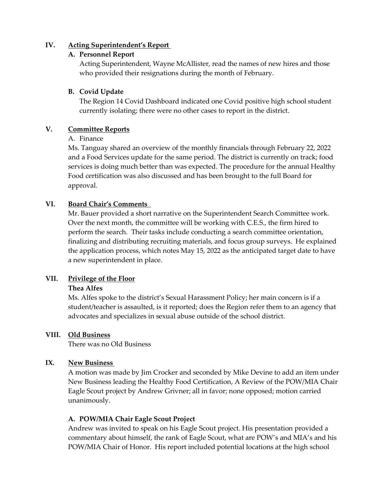## **IV. Acting Superintendent's Report**

## **A. Personnel Report**

Acting Superintendent, Wayne McAllister, read the names of new hires and those who provided their resignations during the month of February.

## **B. Covid Update**

The Region 14 Covid Dashboard indicated one Covid positive high school student currently isolating; there were no other cases to report in the district.

## **V. Committee Reports**

## A. Finance

Ms. Tanguay shared an overview of the monthly financials through February 22, 2022 and a Food Services update for the same period. The district is currently on track; food services is doing much better than was expected. The procedure for the annual Healthy Food certification was also discussed and has been brought to the full Board for approval.

## **VI. Board Chair's Comments**

Mr. Bauer provided a short narrative on the Superintendent Search Committee work. Over the next month, the committee will be working with C.E.S., the firm hired to perform the search. Their tasks include conducting a search committee orientation, finalizing and distributing recruiting materials, and focus group surveys. He explained the application process, which notes May 15, 2022 as the anticipated target date to have a new superintendent in place.

# **VII. Privilege of the Floor**

## **Thea Alfes**

Ms. Alfes spoke to the district's Sexual Harassment Policy; her main concern is if a student/teacher is assaulted, is it reported; does the Region refer them to an agency that advocates and specializes in sexual abuse outside of the school district.

## **VIII. Old Business**

There was no Old Business

# **IX. New Business**

A motion was made by Jim Crocker and seconded by Mike Devine to add an item under New Business leading the Healthy Food Certification, A Review of the POW/MIA Chair Eagle Scout project by Andrew Grivner; all in favor; none opposed; motion carried unanimously.

# **A. POW/MIA Chair Eagle Scout Project**

Andrew was invited to speak on his Eagle Scout project. His presentation provided a commentary about himself, the rank of Eagle Scout, what are POW's and MIA's and his POW/MIA Chair of Honor. His report included potential locations at the high school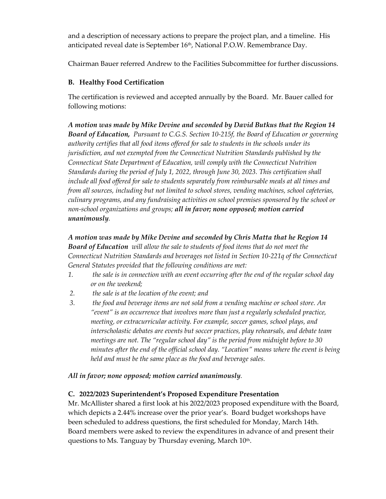and a description of necessary actions to prepare the project plan, and a timeline. His anticipated reveal date is September 16<sup>th</sup>, National P.O.W. Remembrance Day.

Chairman Bauer referred Andrew to the Facilities Subcommittee for further discussions.

# **B. Healthy Food Certification**

The certification is reviewed and accepted annually by the Board. Mr. Bauer called for following motions:

*A motion was made by Mike Devine and seconded by David Butkus that the Region 14 Board of Education, Pursuant to C.G.S. Section 10-215f, the Board of Education or governing authority certifies that all food items offered for sale to students in the schools under its jurisdiction, and not exempted from the Connecticut Nutrition Standards published by the Connecticut State Department of Education, will comply with the Connecticut Nutrition Standards during the period of July 1, 2022, through June 30, 2023. This certification shall include all food offered for sale to students separately from reimbursable meals at all times and from all sources, including but not limited to school stores, vending machines, school cafeterias, culinary programs, and any fundraising activities on school premises sponsored by the school or non-school organizations and groups; all in favor; none opposed; motion carried unanimously.*

*A motion was made by Mike Devine and seconded by Chris Matta that he Region 14 Board of Education will allow the sale to students of food items that do not meet the Connecticut Nutrition Standards and beverages not listed in Section 10-221q of the Connecticut General Statutes provided that the following conditions are met:* 

- *1. the sale is in connection with an event occurring after the end of the regular school day or on the weekend;*
- *2. the sale is at the location of the event; and*
- *3. the food and beverage items are not sold from a vending machine or school store. An "event" is an occurrence that involves more than just a regularly scheduled practice, meeting, or extracurricular activity. For example, soccer games, school plays, and interscholastic debates are events but soccer practices, play rehearsals, and debate team meetings are not. The "regular school day" is the period from midnight before to 30 minutes after the end of the official school day. "Location" means where the event is being held and must be the same place as the food and beverage sales.*

# *All in favor; none opposed; motion carried unanimously.*

# **C. 2022/2023 Superintendent's Proposed Expenditure Presentation**

Mr. McAllister shared a first look at his 2022/2023 proposed expenditure with the Board, which depicts a 2.44% increase over the prior year's. Board budget workshops have been scheduled to address questions, the first scheduled for Monday, March 14th. Board members were asked to review the expenditures in advance of and present their questions to Ms. Tanguay by Thursday evening, March 10<sup>th</sup>.